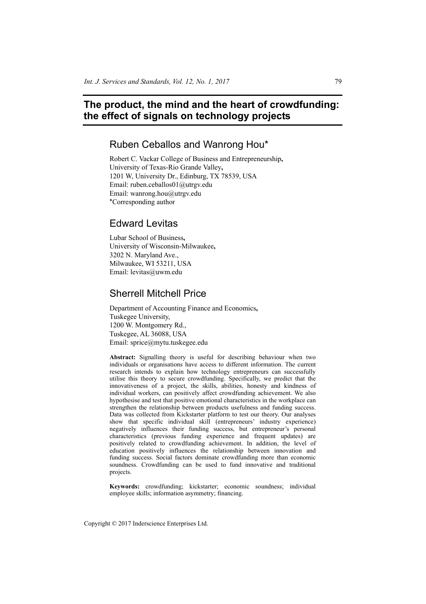# **The product, the mind and the heart of crowdfunding: the effect of signals on technology projects**

## Ruben Ceballos and Wanrong Hou\*

Robert C. Vackar College of Business and Entrepreneurship**,**  University of Texas-Rio Grande Valley**,**  1201 W, University Dr., Edinburg, TX 78539, USA Email: ruben.ceballos01@utrgv.edu Email: wanrong.hou@utrgv.edu \*Corresponding author

## Edward Levitas

Lubar School of Business**,**  University of Wisconsin-Milwaukee**,**  3202 N. Maryland Ave., Milwaukee, WI 53211, USA Email: levitas@uwm.edu

# Sherrell Mitchell Price

Department of Accounting Finance and Economics**,**  Tuskegee University, 1200 W. Montgomery Rd., Tuskegee, AL 36088, USA Email: sprice@mytu.tuskegee.edu

**Abstract:** Signalling theory is useful for describing behaviour when two individuals or organisations have access to different information. The current research intends to explain how technology entrepreneurs can successfully utilise this theory to secure crowdfunding. Specifically, we predict that the innovativeness of a project, the skills, abilities, honesty and kindness of individual workers, can positively affect crowdfunding achievement. We also hypothesise and test that positive emotional characteristics in the workplace can strengthen the relationship between products usefulness and funding success. Data was collected from Kickstarter platform to test our theory. Our analyses show that specific individual skill (entrepreneurs' industry experience) negatively influences their funding success, but entrepreneur's personal characteristics (previous funding experience and frequent updates) are positively related to crowdfunding achievement. In addition, the level of education positively influences the relationship between innovation and funding success. Social factors dominate crowdfunding more than economic soundness. Crowdfunding can be used to fund innovative and traditional projects.

**Keywords:** crowdfunding; kickstarter; economic soundness; individual employee skills; information asymmetry; financing.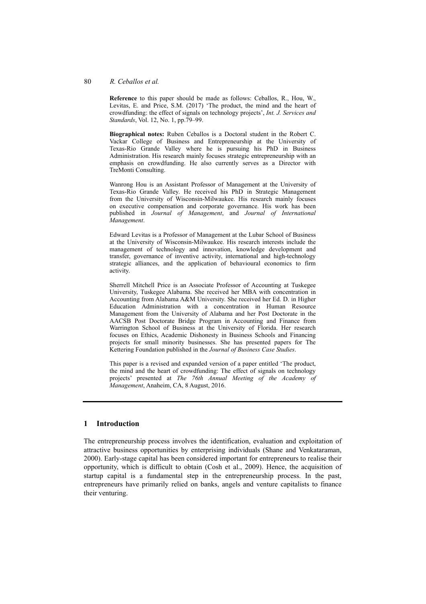**Reference** to this paper should be made as follows: Ceballos, R., Hou, W., Levitas, E. and Price, S.M. (2017) 'The product, the mind and the heart of crowdfunding: the effect of signals on technology projects', *Int. J. Services and Standards*, Vol. 12, No. 1, pp.79–99.

**Biographical notes:** Ruben Ceballos is a Doctoral student in the Robert C. Vackar College of Business and Entrepreneurship at the University of Texas-Rio Grande Valley where he is pursuing his PhD in Business Administration. His research mainly focuses strategic entrepreneurship with an emphasis on crowdfunding. He also currently serves as a Director with TreMonti Consulting.

Wanrong Hou is an Assistant Professor of Management at the University of Texas-Rio Grande Valley. He received his PhD in Strategic Management from the University of Wisconsin-Milwaukee. His research mainly focuses on executive compensation and corporate governance. His work has been published in *Journal of Management*, and *Journal of International Management*.

Edward Levitas is a Professor of Management at the Lubar School of Business at the University of Wisconsin-Milwaukee. His research interests include the management of technology and innovation, knowledge development and transfer, governance of inventive activity, international and high-technology strategic alliances, and the application of behavioural economics to firm activity.

Sherrell Mitchell Price is an Associate Professor of Accounting at Tuskegee University, Tuskegee Alabama. She received her MBA with concentration in Accounting from Alabama A&M University. She received her Ed. D. in Higher Education Administration with a concentration in Human Resource Management from the University of Alabama and her Post Doctorate in the AACSB Post Doctorate Bridge Program in Accounting and Finance from Warrington School of Business at the University of Florida. Her research focuses on Ethics, Academic Dishonesty in Business Schools and Financing projects for small minority businesses. She has presented papers for The Kettering Foundation published in the *Journal of Business Case Studies*.

This paper is a revised and expanded version of a paper entitled 'The product, the mind and the heart of crowdfunding: The effect of signals on technology projects' presented at *The 76th Annual Meeting of the Academy of Management*, Anaheim, CA, 8 August, 2016.

## **1 Introduction**

The entrepreneurship process involves the identification, evaluation and exploitation of attractive business opportunities by enterprising individuals (Shane and Venkataraman, 2000). Early-stage capital has been considered important for entrepreneurs to realise their opportunity, which is difficult to obtain (Cosh et al., 2009). Hence, the acquisition of startup capital is a fundamental step in the entrepreneurship process. In the past, entrepreneurs have primarily relied on banks, angels and venture capitalists to finance their venturing.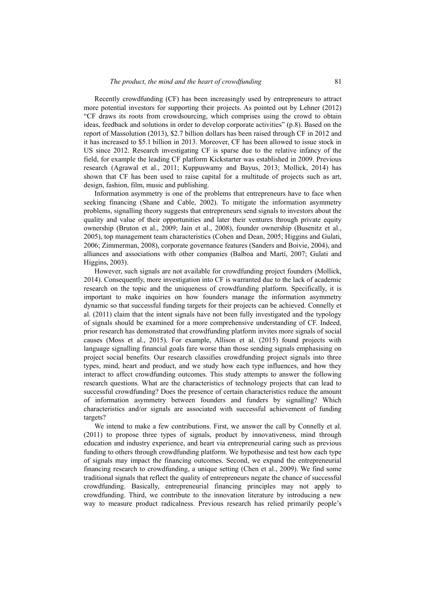Recently crowdfunding (CF) has been increasingly used by entrepreneurs to attract more potential investors for supporting their projects. As pointed out by Lehner (2012) "CF draws its roots from crowdsourcing, which comprises using the crowd to obtain ideas, feedback and solutions in order to develop corporate activities" (p.8). Based on the report of Massolution (2013), \$2.7 billion dollars has been raised through CF in 2012 and it has increased to \$5.1 billion in 2013. Moreover, CF has been allowed to issue stock in US since 2012. Research investigating CF is sparse due to the relative infancy of the field, for example the leading CF platform Kickstarter was established in 2009. Previous research (Agrawal et al., 2011; Kuppuswamy and Bayus, 2013; Mollick, 2014) has shown that CF has been used to raise capital for a multitude of projects such as art, design, fashion, film, music and publishing.

Information asymmetry is one of the problems that entrepreneurs have to face when seeking financing (Shane and Cable, 2002). To mitigate the information asymmetry problems, signalling theory suggests that entrepreneurs send signals to investors about the quality and value of their opportunities and later their ventures through private equity ownership (Bruton et al., 2009; Jain et al., 2008), founder ownership (Busenitz et al., 2005), top management team characteristics (Cohen and Dean, 2005; Higgins and Gulati, 2006; Zimmerman, 2008), corporate governance features (Sanders and Boivie, 2004), and alliances and associations with other companies (Balboa and Martí, 2007; Gulati and Higgins, 2003).

However, such signals are not available for crowdfunding project founders (Mollick, 2014). Consequently, more investigation into CF is warranted due to the lack of academic research on the topic and the uniqueness of crowdfunding platform. Specifically, it is important to make inquiries on how founders manage the information asymmetry dynamic so that successful funding targets for their projects can be achieved. Connelly et al. (2011) claim that the intent signals have not been fully investigated and the typology of signals should be examined for a more comprehensive understanding of CF. Indeed, prior research has demonstrated that crowdfunding platform invites more signals of social causes (Moss et al., 2015). For example, Allison et al. (2015) found projects with language signalling financial goals fare worse than those sending signals emphasising on project social benefits. Our research classifies crowdfunding project signals into three types, mind, heart and product, and we study how each type influences, and how they interact to affect crowdfunding outcomes. This study attempts to answer the following research questions. What are the characteristics of technology projects that can lead to successful crowdfunding? Does the presence of certain characteristics reduce the amount of information asymmetry between founders and funders by signalling? Which characteristics and/or signals are associated with successful achievement of funding targets?

We intend to make a few contributions. First, we answer the call by Connelly et al. (2011) to propose three types of signals, product by innovativeness, mind through education and industry experience, and heart via entrepreneurial caring such as previous funding to others through crowdfunding platform. We hypothesise and test how each type of signals may impact the financing outcomes. Second, we expand the entrepreneurial financing research to crowdfunding, a unique setting (Chen et al., 2009). We find some traditional signals that reflect the quality of entrepreneurs negate the chance of successful crowdfunding. Basically, entrepreneurial financing principles may not apply to crowdfunding. Third, we contribute to the innovation literature by introducing a new way to measure product radicalness. Previous research has relied primarily people's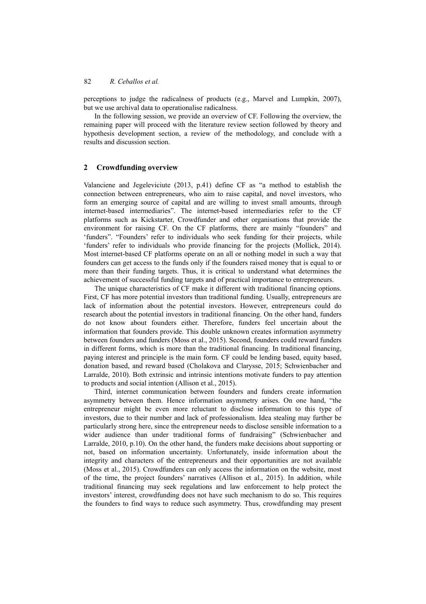perceptions to judge the radicalness of products (e.g., Marvel and Lumpkin, 2007), but we use archival data to operationalise radicalness.

In the following session, we provide an overview of CF. Following the overview, the remaining paper will proceed with the literature review section followed by theory and hypothesis development section, a review of the methodology, and conclude with a results and discussion section.

#### **2 Crowdfunding overview**

Valanciene and Jegeleviciute (2013, p.41) define CF as "a method to establish the connection between entrepreneurs, who aim to raise capital, and novel investors, who form an emerging source of capital and are willing to invest small amounts, through internet-based intermediaries". The internet-based intermediaries refer to the CF platforms such as Kickstarter, Crowdfunder and other organisations that provide the environment for raising CF. On the CF platforms, there are mainly "founders" and 'funders". "Founders' refer to individuals who seek funding for their projects, while 'funders' refer to individuals who provide financing for the projects (Mollick, 2014). Most internet-based CF platforms operate on an all or nothing model in such a way that founders can get access to the funds only if the founders raised money that is equal to or more than their funding targets. Thus, it is critical to understand what determines the achievement of successful funding targets and of practical importance to entrepreneurs.

The unique characteristics of CF make it different with traditional financing options. First, CF has more potential investors than traditional funding. Usually, entrepreneurs are lack of information about the potential investors. However, entrepreneurs could do research about the potential investors in traditional financing. On the other hand, funders do not know about founders either. Therefore, funders feel uncertain about the information that founders provide. This double unknown creates information asymmetry between founders and funders (Moss et al., 2015). Second, founders could reward funders in different forms, which is more than the traditional financing. In traditional financing, paying interest and principle is the main form. CF could be lending based, equity based, donation based, and reward based (Cholakova and Clarysse, 2015; Schwienbacher and Larralde, 2010). Both extrinsic and intrinsic intentions motivate funders to pay attention to products and social intention (Allison et al., 2015).

Third, internet communication between founders and funders create information asymmetry between them. Hence information asymmetry arises. On one hand, "the entrepreneur might be even more reluctant to disclose information to this type of investors, due to their number and lack of professionalism. Idea stealing may further be particularly strong here, since the entrepreneur needs to disclose sensible information to a wider audience than under traditional forms of fundraising" (Schwienbacher and Larralde, 2010, p.10). On the other hand, the funders make decisions about supporting or not, based on information uncertainty. Unfortunately, inside information about the integrity and characters of the entrepreneurs and their opportunities are not available (Moss et al., 2015). Crowdfunders can only access the information on the website, most of the time, the project founders' narratives (Allison et al., 2015). In addition, while traditional financing may seek regulations and law enforcement to help protect the investors' interest, crowdfunding does not have such mechanism to do so. This requires the founders to find ways to reduce such asymmetry. Thus, crowdfunding may present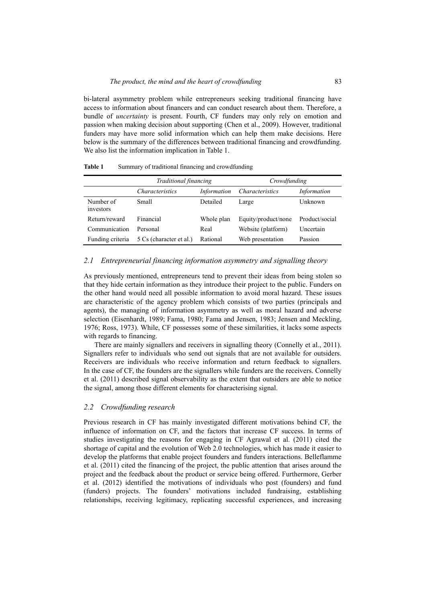bi-lateral asymmetry problem while entrepreneurs seeking traditional financing have access to information about financers and can conduct research about them. Therefore, a bundle of *uncertainty* is present. Fourth, CF funders may only rely on emotion and passion when making decision about supporting (Chen et al., 2009). However, traditional funders may have more solid information which can help them make decisions. Here below is the summary of the differences between traditional financing and crowdfunding. We also list the information implication in Table 1.

**Table 1** Summary of traditional financing and crowdfunding

|                        | Traditional financing   |             | Crowdfunding           |                |
|------------------------|-------------------------|-------------|------------------------|----------------|
|                        | <i>Characteristics</i>  | Information | <i>Characteristics</i> | Information    |
| Number of<br>investors | Small                   | Detailed    | Large                  | Unknown        |
| Return/reward          | Financial               | Whole plan  | Equity/product/none    | Product/social |
| Communication          | Personal                | Real        | Website (platform)     | Uncertain      |
| Funding criteria       | 5 Cs (character et al.) | Rational    | Web presentation       | Passion        |

## *2.1 Entrepreneurial financing information asymmetry and signalling theory*

As previously mentioned, entrepreneurs tend to prevent their ideas from being stolen so that they hide certain information as they introduce their project to the public. Funders on the other hand would need all possible information to avoid moral hazard. These issues are characteristic of the agency problem which consists of two parties (principals and agents), the managing of information asymmetry as well as moral hazard and adverse selection (Eisenhardt, 1989; Fama, 1980; Fama and Jensen, 1983; Jensen and Meckling, 1976; Ross, 1973). While, CF possesses some of these similarities, it lacks some aspects with regards to financing.

There are mainly signallers and receivers in signalling theory (Connelly et al., 2011). Signallers refer to individuals who send out signals that are not available for outsiders. Receivers are individuals who receive information and return feedback to signallers. In the case of CF, the founders are the signallers while funders are the receivers. Connelly et al. (2011) described signal observability as the extent that outsiders are able to notice the signal, among those different elements for characterising signal.

## *2.2 Crowdfunding research*

Previous research in CF has mainly investigated different motivations behind CF, the influence of information on CF, and the factors that increase CF success. In terms of studies investigating the reasons for engaging in CF Agrawal et al. (2011) cited the shortage of capital and the evolution of Web 2.0 technologies, which has made it easier to develop the platforms that enable project founders and funders interactions. Belleflamme et al. (2011) cited the financing of the project, the public attention that arises around the project and the feedback about the product or service being offered. Furthermore, Gerber et al. (2012) identified the motivations of individuals who post (founders) and fund (funders) projects. The founders' motivations included fundraising, establishing relationships, receiving legitimacy, replicating successful experiences, and increasing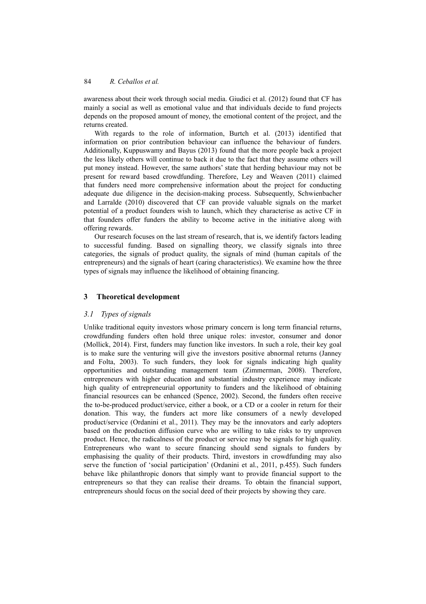awareness about their work through social media. Giudici et al. (2012) found that CF has mainly a social as well as emotional value and that individuals decide to fund projects depends on the proposed amount of money, the emotional content of the project, and the returns created.

With regards to the role of information, Burtch et al. (2013) identified that information on prior contribution behaviour can influence the behaviour of funders. Additionally, Kuppuswamy and Bayus (2013) found that the more people back a project the less likely others will continue to back it due to the fact that they assume others will put money instead. However, the same authors' state that herding behaviour may not be present for reward based crowdfunding. Therefore, Ley and Weaven (2011) claimed that funders need more comprehensive information about the project for conducting adequate due diligence in the decision-making process. Subsequently, Schwienbacher and Larralde (2010) discovered that CF can provide valuable signals on the market potential of a product founders wish to launch, which they characterise as active CF in that founders offer funders the ability to become active in the initiative along with offering rewards.

Our research focuses on the last stream of research, that is, we identify factors leading to successful funding. Based on signalling theory, we classify signals into three categories, the signals of product quality, the signals of mind (human capitals of the entrepreneurs) and the signals of heart (caring characteristics). We examine how the three types of signals may influence the likelihood of obtaining financing.

## **3 Theoretical development**

#### *3.1 Types of signals*

Unlike traditional equity investors whose primary concern is long term financial returns, crowdfunding funders often hold three unique roles: investor, consumer and donor (Mollick, 2014). First, funders may function like investors. In such a role, their key goal is to make sure the venturing will give the investors positive abnormal returns (Janney and Folta, 2003). To such funders, they look for signals indicating high quality opportunities and outstanding management team (Zimmerman, 2008). Therefore, entrepreneurs with higher education and substantial industry experience may indicate high quality of entrepreneurial opportunity to funders and the likelihood of obtaining financial resources can be enhanced (Spence, 2002). Second, the funders often receive the to-be-produced product/service, either a book, or a CD or a cooler in return for their donation. This way, the funders act more like consumers of a newly developed product/service (Ordanini et al., 2011). They may be the innovators and early adopters based on the production diffusion curve who are willing to take risks to try unproven product. Hence, the radicalness of the product or service may be signals for high quality. Entrepreneurs who want to secure financing should send signals to funders by emphasising the quality of their products. Third, investors in crowdfunding may also serve the function of 'social participation' (Ordanini et al., 2011, p.455). Such funders behave like philanthropic donors that simply want to provide financial support to the entrepreneurs so that they can realise their dreams. To obtain the financial support, entrepreneurs should focus on the social deed of their projects by showing they care.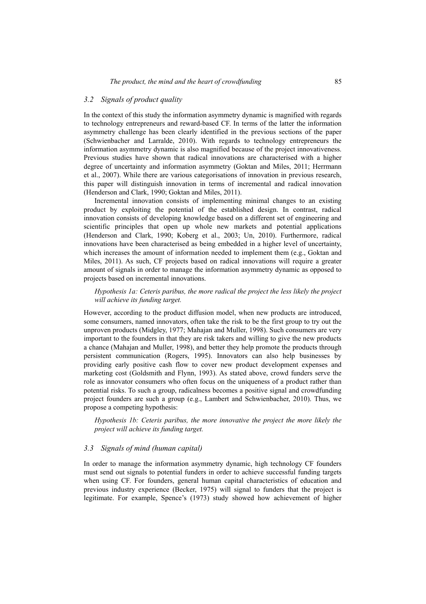#### *3.2 Signals of product quality*

In the context of this study the information asymmetry dynamic is magnified with regards to technology entrepreneurs and reward-based CF. In terms of the latter the information asymmetry challenge has been clearly identified in the previous sections of the paper (Schwienbacher and Larralde, 2010). With regards to technology entrepreneurs the information asymmetry dynamic is also magnified because of the project innovativeness. Previous studies have shown that radical innovations are characterised with a higher degree of uncertainty and information asymmetry (Goktan and Miles, 2011; Herrmann et al., 2007). While there are various categorisations of innovation in previous research, this paper will distinguish innovation in terms of incremental and radical innovation (Henderson and Clark, 1990; Goktan and Miles, 2011).

Incremental innovation consists of implementing minimal changes to an existing product by exploiting the potential of the established design. In contrast, radical innovation consists of developing knowledge based on a different set of engineering and scientific principles that open up whole new markets and potential applications (Henderson and Clark, 1990; Koberg et al., 2003; Un, 2010). Furthermore, radical innovations have been characterised as being embedded in a higher level of uncertainty, which increases the amount of information needed to implement them (e.g., Goktan and Miles, 2011). As such, CF projects based on radical innovations will require a greater amount of signals in order to manage the information asymmetry dynamic as opposed to projects based on incremental innovations.

## *Hypothesis 1a: Ceteris paribus, the more radical the project the less likely the project will achieve its funding target.*

However, according to the product diffusion model, when new products are introduced, some consumers, named innovators, often take the risk to be the first group to try out the unproven products (Midgley, 1977; Mahajan and Muller, 1998). Such consumers are very important to the founders in that they are risk takers and willing to give the new products a chance (Mahajan and Muller, 1998), and better they help promote the products through persistent communication (Rogers, 1995). Innovators can also help businesses by providing early positive cash flow to cover new product development expenses and marketing cost (Goldsmith and Flynn, 1993). As stated above, crowd funders serve the role as innovator consumers who often focus on the uniqueness of a product rather than potential risks. To such a group, radicalness becomes a positive signal and crowdfunding project founders are such a group (e.g., Lambert and Schwienbacher, 2010). Thus, we propose a competing hypothesis:

*Hypothesis 1b: Ceteris paribus, the more innovative the project the more likely the project will achieve its funding target.* 

#### *3.3 Signals of mind (human capital)*

In order to manage the information asymmetry dynamic, high technology CF founders must send out signals to potential funders in order to achieve successful funding targets when using CF. For founders, general human capital characteristics of education and previous industry experience (Becker, 1975) will signal to funders that the project is legitimate. For example, Spence's (1973) study showed how achievement of higher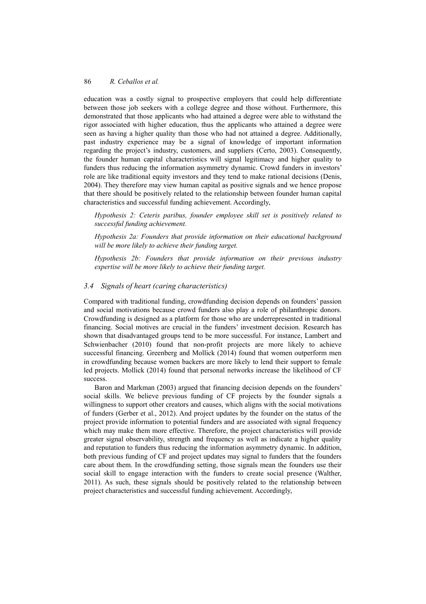education was a costly signal to prospective employers that could help differentiate between those job seekers with a college degree and those without. Furthermore, this demonstrated that those applicants who had attained a degree were able to withstand the rigor associated with higher education, thus the applicants who attained a degree were seen as having a higher quality than those who had not attained a degree. Additionally, past industry experience may be a signal of knowledge of important information regarding the project's industry, customers, and suppliers (Certo, 2003). Consequently, the founder human capital characteristics will signal legitimacy and higher quality to funders thus reducing the information asymmetry dynamic. Crowd funders in investors' role are like traditional equity investors and they tend to make rational decisions (Denis, 2004). They therefore may view human capital as positive signals and we hence propose that there should be positively related to the relationship between founder human capital characteristics and successful funding achievement. Accordingly,

*Hypothesis 2: Ceteris paribus, founder employee skill set is positively related to successful funding achievement.* 

*Hypothesis 2a: Founders that provide information on their educational background will be more likely to achieve their funding target.* 

*Hypothesis 2b: Founders that provide information on their previous industry expertise will be more likely to achieve their funding target.* 

## *3.4 Signals of heart (caring characteristics)*

Compared with traditional funding, crowdfunding decision depends on founders' passion and social motivations because crowd funders also play a role of philanthropic donors. Crowdfunding is designed as a platform for those who are underrepresented in traditional financing. Social motives are crucial in the funders' investment decision. Research has shown that disadvantaged groups tend to be more successful. For instance, Lambert and Schwienbacher (2010) found that non-profit projects are more likely to achieve successful financing. Greenberg and Mollick (2014) found that women outperform men in crowdfunding because women backers are more likely to lend their support to female led projects. Mollick (2014) found that personal networks increase the likelihood of CF success.

Baron and Markman (2003) argued that financing decision depends on the founders' social skills. We believe previous funding of CF projects by the founder signals a willingness to support other creators and causes, which aligns with the social motivations of funders (Gerber et al., 2012). And project updates by the founder on the status of the project provide information to potential funders and are associated with signal frequency which may make them more effective. Therefore, the project characteristics will provide greater signal observability, strength and frequency as well as indicate a higher quality and reputation to funders thus reducing the information asymmetry dynamic. In addition, both previous funding of CF and project updates may signal to funders that the founders care about them. In the crowdfunding setting, those signals mean the founders use their social skill to engage interaction with the funders to create social presence (Walther, 2011). As such, these signals should be positively related to the relationship between project characteristics and successful funding achievement. Accordingly,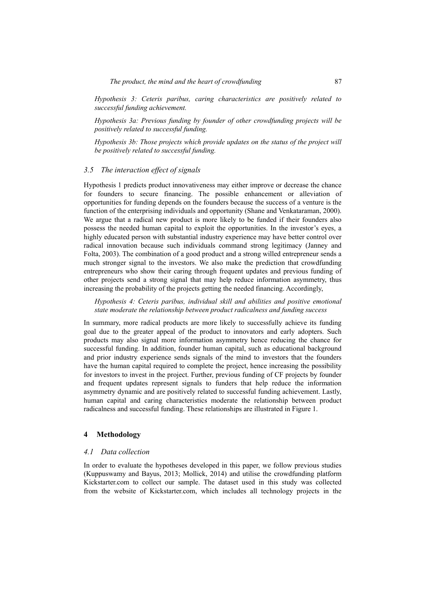*Hypothesis 3: Ceteris paribus, caring characteristics are positively related to successful funding achievement.* 

*Hypothesis 3a: Previous funding by founder of other crowdfunding projects will be positively related to successful funding.* 

*Hypothesis 3b: Those projects which provide updates on the status of the project will be positively related to successful funding.* 

## *3.5 The interaction effect of signals*

Hypothesis 1 predicts product innovativeness may either improve or decrease the chance for founders to secure financing. The possible enhancement or alleviation of opportunities for funding depends on the founders because the success of a venture is the function of the enterprising individuals and opportunity (Shane and Venkataraman, 2000). We argue that a radical new product is more likely to be funded if their founders also possess the needed human capital to exploit the opportunities. In the investor's eyes, a highly educated person with substantial industry experience may have better control over radical innovation because such individuals command strong legitimacy (Janney and Folta, 2003). The combination of a good product and a strong willed entrepreneur sends a much stronger signal to the investors. We also make the prediction that crowdfunding entrepreneurs who show their caring through frequent updates and previous funding of other projects send a strong signal that may help reduce information asymmetry, thus increasing the probability of the projects getting the needed financing. Accordingly,

*Hypothesis 4: Ceteris paribus, individual skill and abilities and positive emotional state moderate the relationship between product radicalness and funding success* 

In summary, more radical products are more likely to successfully achieve its funding goal due to the greater appeal of the product to innovators and early adopters. Such products may also signal more information asymmetry hence reducing the chance for successful funding. In addition, founder human capital, such as educational background and prior industry experience sends signals of the mind to investors that the founders have the human capital required to complete the project, hence increasing the possibility for investors to invest in the project. Further, previous funding of CF projects by founder and frequent updates represent signals to funders that help reduce the information asymmetry dynamic and are positively related to successful funding achievement. Lastly, human capital and caring characteristics moderate the relationship between product radicalness and successful funding. These relationships are illustrated in Figure 1.

## **4 Methodology**

#### *4.1 Data collection*

In order to evaluate the hypotheses developed in this paper, we follow previous studies (Kuppuswamy and Bayus, 2013; Mollick, 2014) and utilise the crowdfunding platform Kickstarter.com to collect our sample. The dataset used in this study was collected from the website of Kickstarter.com, which includes all technology projects in the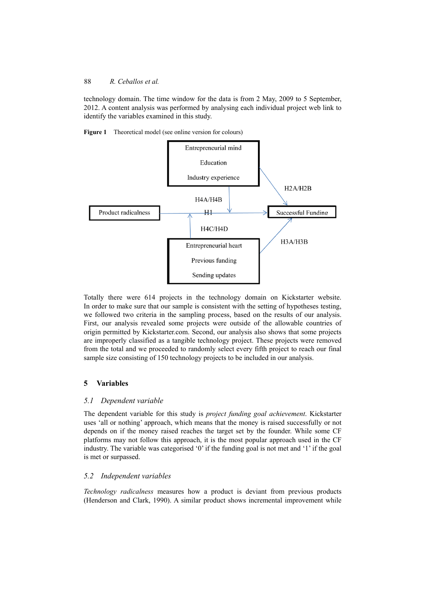technology domain. The time window for the data is from 2 May, 2009 to 5 September, 2012. A content analysis was performed by analysing each individual project web link to identify the variables examined in this study.

**Figure 1** Theoretical model (see online version for colours)



Totally there were 614 projects in the technology domain on Kickstarter website. In order to make sure that our sample is consistent with the setting of hypotheses testing, we followed two criteria in the sampling process, based on the results of our analysis. First, our analysis revealed some projects were outside of the allowable countries of origin permitted by Kickstarter.com. Second, our analysis also shows that some projects are improperly classified as a tangible technology project. These projects were removed from the total and we proceeded to randomly select every fifth project to reach our final sample size consisting of 150 technology projects to be included in our analysis.

#### **5 Variables**

#### *5.1 Dependent variable*

The dependent variable for this study is *project funding goal achievement*. Kickstarter uses 'all or nothing' approach, which means that the money is raised successfully or not depends on if the money raised reaches the target set by the founder. While some CF platforms may not follow this approach, it is the most popular approach used in the CF industry. The variable was categorised '0' if the funding goal is not met and '1' if the goal is met or surpassed.

## *5.2 Independent variables*

*Technology radicalness* measures how a product is deviant from previous products (Henderson and Clark, 1990). A similar product shows incremental improvement while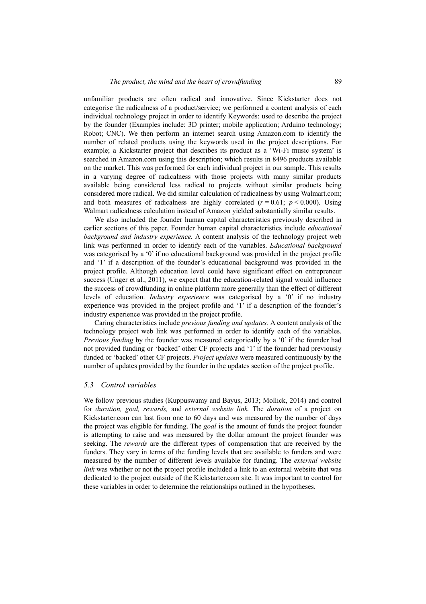unfamiliar products are often radical and innovative. Since Kickstarter does not categorise the radicalness of a product/service; we performed a content analysis of each individual technology project in order to identify Keywords: used to describe the project by the founder (Examples include: 3D printer; mobile application; Arduino technology; Robot; CNC). We then perform an internet search using Amazon.com to identify the number of related products using the keywords used in the project descriptions. For example; a Kickstarter project that describes its product as a 'Wi-Fi music system' is searched in Amazon.com using this description; which results in 8496 products available on the market. This was performed for each individual project in our sample. This results in a varying degree of radicalness with those projects with many similar products available being considered less radical to projects without similar products being considered more radical. We did similar calculation of radicalness by using Walmart.com; and both measures of radicalness are highly correlated  $(r = 0.61; p < 0.000)$ . Using Walmart radicalness calculation instead of Amazon yielded substantially similar results.

We also included the founder human capital characteristics previously described in earlier sections of this paper. Founder human capital characteristics include *educational background and industry experience.* A content analysis of the technology project web link was performed in order to identify each of the variables. *Educational background* was categorised by a '0' if no educational background was provided in the project profile and '1' if a description of the founder's educational background was provided in the project profile. Although education level could have significant effect on entrepreneur success (Unger et al., 2011), we expect that the education-related signal would influence the success of crowdfunding in online platform more generally than the effect of different levels of education. *Industry experience* was categorised by a '0' if no industry experience was provided in the project profile and '1' if a description of the founder's industry experience was provided in the project profile.

Caring characteristics include *previous funding and updates.* A content analysis of the technology project web link was performed in order to identify each of the variables. *Previous funding* by the founder was measured categorically by a '0' if the founder had not provided funding or 'backed' other CF projects and '1' if the founder had previously funded or 'backed' other CF projects. *Project updates* were measured continuously by the number of updates provided by the founder in the updates section of the project profile.

#### *5.3 Control variables*

We follow previous studies (Kuppuswamy and Bayus, 2013; Mollick, 2014) and control for *duration, goal, rewards,* and *external website link.* The *duration* of a project on Kickstarter.com can last from one to 60 days and was measured by the number of days the project was eligible for funding. The *goal* is the amount of funds the project founder is attempting to raise and was measured by the dollar amount the project founder was seeking. The *rewards* are the different types of compensation that are received by the funders. They vary in terms of the funding levels that are available to funders and were measured by the number of different levels available for funding. The *external website link* was whether or not the project profile included a link to an external website that was dedicated to the project outside of the Kickstarter.com site. It was important to control for these variables in order to determine the relationships outlined in the hypotheses.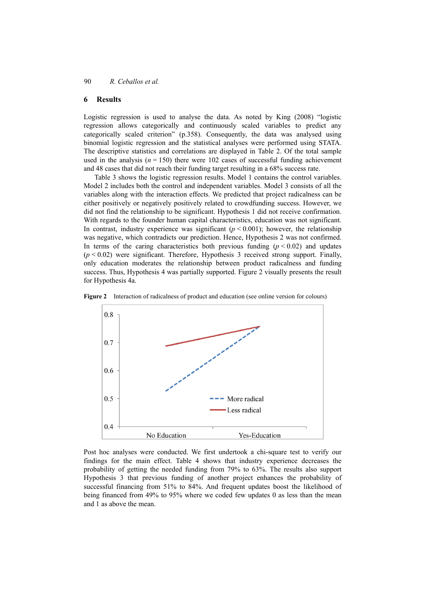#### **6 Results**

Logistic regression is used to analyse the data. As noted by King (2008) "logistic regression allows categorically and continuously scaled variables to predict any categorically scaled criterion" (p.358). Consequently, the data was analysed using binomial logistic regression and the statistical analyses were performed using STATA. The descriptive statistics and correlations are displayed in Table 2. Of the total sample used in the analysis  $(n = 150)$  there were 102 cases of successful funding achievement and 48 cases that did not reach their funding target resulting in a 68% success rate.

Table 3 shows the logistic regression results. Model 1 contains the control variables. Model 2 includes both the control and independent variables. Model 3 consists of all the variables along with the interaction effects. We predicted that project radicalness can be either positively or negatively positively related to crowdfunding success. However, we did not find the relationship to be significant. Hypothesis 1 did not receive confirmation. With regards to the founder human capital characteristics, education was not significant. In contrast, industry experience was significant  $(p < 0.001)$ ; however, the relationship was negative, which contradicts our prediction. Hence, Hypothesis 2 was not confirmed. In terms of the caring characteristics both previous funding  $(p < 0.02)$  and updates  $(p < 0.02)$  were significant. Therefore, Hypothesis 3 received strong support. Finally, only education moderates the relationship between product radicalness and funding success. Thus, Hypothesis 4 was partially supported. Figure 2 visually presents the result for Hypothesis 4a.



**Figure 2** Interaction of radicalness of product and education (see online version for colours)

Post hoc analyses were conducted. We first undertook a chi-square test to verify our findings for the main effect. Table 4 shows that industry experience decreases the probability of getting the needed funding from 79% to 63%. The results also support Hypothesis 3 that previous funding of another project enhances the probability of successful financing from 51% to 84%. And frequent updates boost the likelihood of being financed from 49% to 95% where we coded few updates 0 as less than the mean and 1 as above the mean.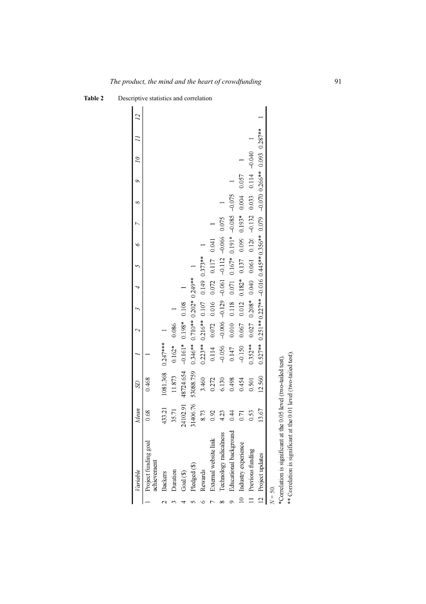|   | Variable                                                          | Mean              | S <sub>D</sub> |                                                                                                                                                                                                                                 | $\mathcal{L}$ | $\tilde{\phantom{0}}$ |                  |                   |                |                           | $^{\circ}$ | $\circ$ | $\tilde{a}$ | 22 |  |
|---|-------------------------------------------------------------------|-------------------|----------------|---------------------------------------------------------------------------------------------------------------------------------------------------------------------------------------------------------------------------------|---------------|-----------------------|------------------|-------------------|----------------|---------------------------|------------|---------|-------------|----|--|
|   | Project funding goal<br>achievement                               | 0.68              | 0.468          |                                                                                                                                                                                                                                 |               |                       |                  |                   |                |                           |            |         |             |    |  |
|   | Backers                                                           | 433.21            | 1081.368       | $0.247***$                                                                                                                                                                                                                      |               |                       |                  |                   |                |                           |            |         |             |    |  |
|   | Duration                                                          | 35.71             | 11.873         | $0.162*$                                                                                                                                                                                                                        | 0.086         |                       |                  |                   |                |                           |            |         |             |    |  |
|   | Goal (\$)                                                         | 24102.91          | 48724.654      | $-0.161*$                                                                                                                                                                                                                       | $0.198*$      | 0.108                 |                  |                   |                |                           |            |         |             |    |  |
|   | Pledged (\$)                                                      | 31406.76          | 53088.759      | $0.346***$ $0.710**$ $0.202*$ $0.249***$                                                                                                                                                                                        |               |                       |                  |                   |                |                           |            |         |             |    |  |
|   | Rewards                                                           | 8.73              | 3.460          | $0.223***$ $0.216**$ 0.107                                                                                                                                                                                                      |               |                       |                  | $0.149$ $0.373**$ |                |                           |            |         |             |    |  |
|   | External website link                                             | 0.92              | 0.272          | 0.114                                                                                                                                                                                                                           | 0.072         | 0.016                 | 0.072            | 0.117             | 0.041          |                           |            |         |             |    |  |
| ∝ | Technology radicalness                                            | 4.23              | 6.130          | $-0.056$                                                                                                                                                                                                                        |               | $-0.006$ $-0.129$     | $-0.061 - 0.112$ |                   | $-0.066$ 0.075 |                           |            |         |             |    |  |
|   | Educational background                                            | 0.44              | 0.498          | 0.147                                                                                                                                                                                                                           | 0.010         | 0.118                 |                  |                   |                | $0.167*0.191*0.085-0.075$ |            |         |             |    |  |
|   | 10 Industry experience                                            | $\overline{0.71}$ | 0454           | $-0.150$                                                                                                                                                                                                                        | 0.067         | 0.012                 | $0.182*$         | 0.137             | 0.099          | $0.193*$                  | 0.004      | 0.057   |             |    |  |
|   | 11 Previous funding                                               | 0.53              | 0.501          | $0.352***$                                                                                                                                                                                                                      |               | $0.027$ $0.208*$      |                  | 0.040 0.061       |                | $0.126 - 0.132$           | 0.033      | 0.114   | $-0.040$    |    |  |
|   | 12 Project updates                                                | 13.67             | 12.560         | $0.527**$ $0.251**0.227**$ $0.070$ $0.070$ $0.070$ $0.006**$ $0.0000$ $0.0000$ $0.0000$ $0.0000$ $0.0000$ $0.0000$ $0.0000$ $0.00000$ $0.00000$ $0.00000$ $0.00000$ $0.00000$ $0.00000$ $0.00000$ $0.00000$ $0.00000$ $0.00000$ |               |                       |                  |                   |                |                           |            |         |             |    |  |
|   | $N = 50$ .                                                        |                   |                |                                                                                                                                                                                                                                 |               |                       |                  |                   |                |                           |            |         |             |    |  |
|   | *Correlation is significant at the 0.05 level (two-tailed test)   |                   |                |                                                                                                                                                                                                                                 |               |                       |                  |                   |                |                           |            |         |             |    |  |
|   | ** Correlation is significant at the 0.01 level (two-tailed test) |                   |                |                                                                                                                                                                                                                                 |               |                       |                  |                   |                |                           |            |         |             |    |  |

| LETRICAL IS SIELICALL AL U.O. IEVEL (IWO-LATED LES | $\sim$<br>2                                |
|----------------------------------------------------|--------------------------------------------|
|                                                    |                                            |
|                                                    |                                            |
|                                                    |                                            |
|                                                    | "relation is significant at the 0.01 level |
|                                                    |                                            |
|                                                    | l                                          |

**Table 2** Descriptive statistics and correlation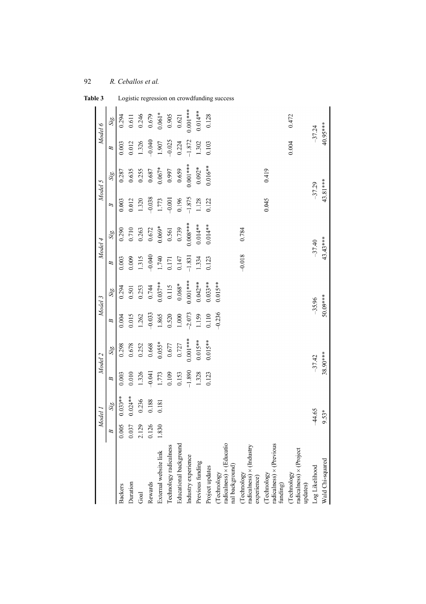|                                                               |       | Model 1   |          | Model 2    |          | Model 3    |          | Model 4    |          | Model 5    |          | Model 6    |
|---------------------------------------------------------------|-------|-----------|----------|------------|----------|------------|----------|------------|----------|------------|----------|------------|
|                                                               | B     | Sig.      | B        | Sig.       | B        | Sig.       | B        | Sig.       | B        | Sig.       | B        | Sig.       |
| <b>Backers</b>                                                | 0.005 | $0.030**$ | 0.003    | 0.298      | 0.004    | 0.294      | 0.003    | 0.290      | 0.003    | 0.287      | 0.003    | 0.294      |
| Duration                                                      | 0.037 | $0.024**$ | 0.010    | 0.678      | 0.015    | 0.501      | 0.009    | 0.710      | 0.012    | 0.635      | 0.012    | 0.611      |
| Goal                                                          | 2.129 | 0.236     | 1.326    | 0.252      | 1.262    | 0.253      | 1.315    | 0.263      | 1.320    | 0.255      | 1.326    | 0.246      |
| Rewards                                                       | 0.126 | 0.188     | $-0.041$ | 0.668      | $-0.033$ | 0.744      | $-0.040$ | 0.672      | $-0.038$ | $0.687\,$  | $-0.040$ | 0.679      |
| External website link                                         | 1.830 | 0.181     | 1.773    | $0.055*$   | 1.865    | $0.037**$  | 1.740    | $0.069*$   | 1.773    | $0.067*$   | 1.907    | $0.061*$   |
| Technology radicalness                                        |       |           | 0.109    | 0.677      | 0.520    | 0.115      | 0.171    | 0.561      | $-0.001$ | 0.997      | $-0.025$ | 0.905      |
| Educational background                                        |       |           | 0.153    | 0.727      | 1.000    | $0.068*$   | 0.147    | 0.739      | 0.196    | 0.659      | 0.224    | 0.621      |
| Industry experience                                           |       |           | $-1.890$ | $0.001***$ | 2.073    | $0.001***$ | $-1.831$ | $0.008***$ | $-1.875$ | $0.001***$ | $-1.872$ | $0.001***$ |
| Previous funding                                              |       |           | 1.328    | $0.015**$  | 1.159    | $0.042**$  | 1.334    | $0.014***$ | 1.128    | $0.092*$   | 1.302    | $0.014**$  |
| Project updates                                               |       |           | 0.123    | $0.015***$ | 0.110    | $0.033**$  | 0.123    | $0.014**$  | 0.122    | $0.016***$ | 0.103    | 0.128      |
| radicalness) × (Educatio<br>nal background)<br>(Technology    |       |           |          |            | $-0.236$ | $0.015**$  |          |            |          |            |          |            |
| radicalness) $\times$ (Industry<br>(Technology<br>experience) |       |           |          |            |          |            | $-0.018$ | 0.784      |          |            |          |            |
| radicalness) × (Previous<br>(Technology<br>funding)           |       |           |          |            |          |            |          |            | 0.045    | 0.419      |          |            |
| radicalness) $\times$ (Project<br>(Technology<br>updates)     |       |           |          |            |          |            |          |            |          |            | 0.004    | 0.472      |
| Log Likelihood                                                |       | 44.65     |          | $-37.42$   |          | $-35.96$   |          | $-37.40$   |          | $-37.29$   |          | $-37.24$   |
| Wald Chi-squared                                              |       | $9.53*$   |          | 38.90***   |          | 50.09***   |          | 43.43***   |          | 43.81 ***  |          | 40.95***   |

**Table 3** Logistic regression on crowdfunding success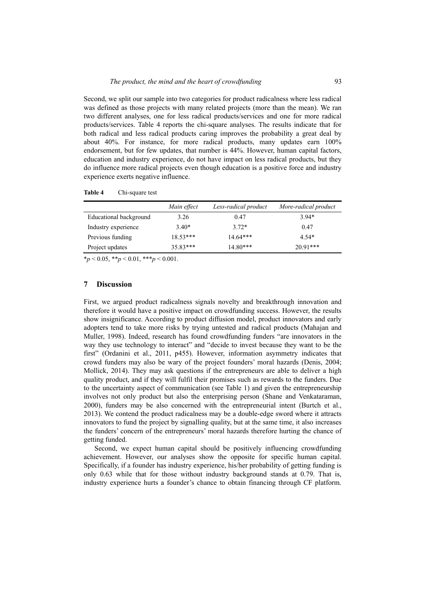Second, we split our sample into two categories for product radicalness where less radical was defined as those projects with many related projects (more than the mean). We ran two different analyses, one for less radical products/services and one for more radical products/services. Table 4 reports the chi-square analyses. The results indicate that for both radical and less radical products caring improves the probability a great deal by about 40%. For instance, for more radical products, many updates earn 100% endorsement, but for few updates, that number is 44%. However, human capital factors, education and industry experience, do not have impact on less radical products, but they do influence more radical projects even though education is a positive force and industry experience exerts negative influence.

**Table 4** Chi-square test

|                        | Main effect | Less-radical product | More-radical product |
|------------------------|-------------|----------------------|----------------------|
| Educational background | 3.26        | 0.47                 | $3.94*$              |
| Industry experience    | $3.40*$     | $372*$               | 0.47                 |
| Previous funding       | $18.53***$  | $14.64***$           | $4.54*$              |
| Project updates        | $3583***$   | $14.80***$           | $20.91***$           |

\**p* < 0.05, \*\**p* < 0.01, \*\*\**p* < 0.001.

#### **7 Discussion**

First, we argued product radicalness signals novelty and breakthrough innovation and therefore it would have a positive impact on crowdfunding success. However, the results show insignificance. According to product diffusion model, product innovators and early adopters tend to take more risks by trying untested and radical products (Mahajan and Muller, 1998). Indeed, research has found crowdfunding funders "are innovators in the way they use technology to interact" and "decide to invest because they want to be the first" (Ordanini et al., 2011, p455). However, information asymmetry indicates that crowd funders may also be wary of the project founders' moral hazards (Denis, 2004; Mollick, 2014). They may ask questions if the entrepreneurs are able to deliver a high quality product, and if they will fulfil their promises such as rewards to the funders. Due to the uncertainty aspect of communication (see Table 1) and given the entrepreneurship involves not only product but also the enterprising person (Shane and Venkataraman, 2000), funders may be also concerned with the entrepreneurial intent (Burtch et al., 2013). We contend the product radicalness may be a double-edge sword where it attracts innovators to fund the project by signalling quality, but at the same time, it also increases the funders' concern of the entrepreneurs' moral hazards therefore hurting the chance of getting funded.

Second, we expect human capital should be positively influencing crowdfunding achievement. However, our analyses show the opposite for specific human capital. Specifically, if a founder has industry experience, his/her probability of getting funding is only 0.63 while that for those without industry background stands at 0.79. That is, industry experience hurts a founder's chance to obtain financing through CF platform.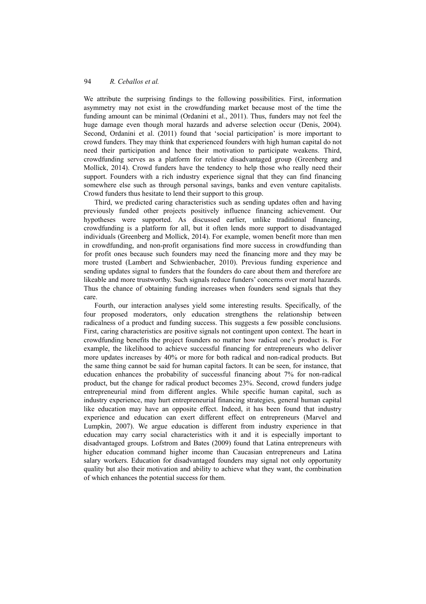We attribute the surprising findings to the following possibilities. First, information asymmetry may not exist in the crowdfunding market because most of the time the funding amount can be minimal (Ordanini et al., 2011). Thus, funders may not feel the huge damage even though moral hazards and adverse selection occur (Denis, 2004). Second, Ordanini et al. (2011) found that 'social participation' is more important to crowd funders. They may think that experienced founders with high human capital do not need their participation and hence their motivation to participate weakens. Third, crowdfunding serves as a platform for relative disadvantaged group (Greenberg and Mollick, 2014). Crowd funders have the tendency to help those who really need their support. Founders with a rich industry experience signal that they can find financing somewhere else such as through personal savings, banks and even venture capitalists. Crowd funders thus hesitate to lend their support to this group.

Third, we predicted caring characteristics such as sending updates often and having previously funded other projects positively influence financing achievement. Our hypotheses were supported. As discussed earlier, unlike traditional financing, crowdfunding is a platform for all, but it often lends more support to disadvantaged individuals (Greenberg and Mollick, 2014). For example, women benefit more than men in crowdfunding, and non-profit organisations find more success in crowdfunding than for profit ones because such founders may need the financing more and they may be more trusted (Lambert and Schwienbacher, 2010). Previous funding experience and sending updates signal to funders that the founders do care about them and therefore are likeable and more trustworthy. Such signals reduce funders' concerns over moral hazards. Thus the chance of obtaining funding increases when founders send signals that they care.

Fourth, our interaction analyses yield some interesting results. Specifically, of the four proposed moderators, only education strengthens the relationship between radicalness of a product and funding success. This suggests a few possible conclusions. First, caring characteristics are positive signals not contingent upon context. The heart in crowdfunding benefits the project founders no matter how radical one's product is. For example, the likelihood to achieve successful financing for entrepreneurs who deliver more updates increases by 40% or more for both radical and non-radical products. But the same thing cannot be said for human capital factors. It can be seen, for instance, that education enhances the probability of successful financing about 7% for non-radical product, but the change for radical product becomes 23%. Second, crowd funders judge entrepreneurial mind from different angles. While specific human capital, such as industry experience, may hurt entrepreneurial financing strategies, general human capital like education may have an opposite effect. Indeed, it has been found that industry experience and education can exert different effect on entrepreneurs (Marvel and Lumpkin, 2007). We argue education is different from industry experience in that education may carry social characteristics with it and it is especially important to disadvantaged groups. Lofstrom and Bates (2009) found that Latina entrepreneurs with higher education command higher income than Caucasian entrepreneurs and Latina salary workers. Education for disadvantaged founders may signal not only opportunity quality but also their motivation and ability to achieve what they want, the combination of which enhances the potential success for them.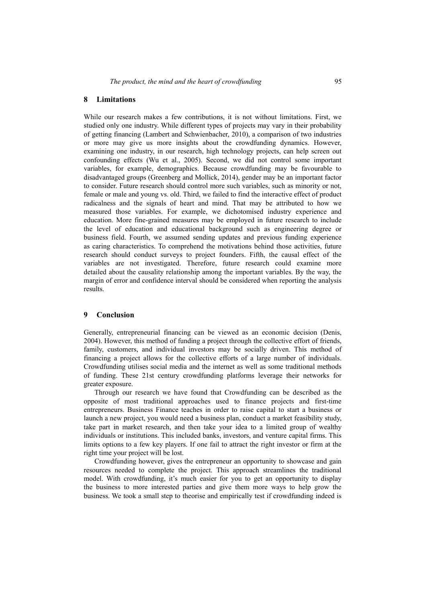#### **8 Limitations**

While our research makes a few contributions, it is not without limitations. First, we studied only one industry. While different types of projects may vary in their probability of getting financing (Lambert and Schwienbacher, 2010), a comparison of two industries or more may give us more insights about the crowdfunding dynamics. However, examining one industry, in our research, high technology projects, can help screen out confounding effects (Wu et al., 2005). Second, we did not control some important variables, for example, demographics. Because crowdfunding may be favourable to disadvantaged groups (Greenberg and Mollick, 2014), gender may be an important factor to consider. Future research should control more such variables, such as minority or not, female or male and young vs. old. Third, we failed to find the interactive effect of product radicalness and the signals of heart and mind. That may be attributed to how we measured those variables. For example, we dichotomised industry experience and education. More fine-grained measures may be employed in future research to include the level of education and educational background such as engineering degree or business field. Fourth, we assumed sending updates and previous funding experience as caring characteristics. To comprehend the motivations behind those activities, future research should conduct surveys to project founders. Fifth, the causal effect of the variables are not investigated. Therefore, future research could examine more detailed about the causality relationship among the important variables. By the way, the margin of error and confidence interval should be considered when reporting the analysis results.

#### **9 Conclusion**

Generally, entrepreneurial financing can be viewed as an economic decision (Denis, 2004). However, this method of funding a project through the collective effort of friends, family, customers, and individual investors may be socially driven. This method of financing a project allows for the collective efforts of a large number of individuals. Crowdfunding utilises social media and the internet as well as some traditional methods of funding. These 21st century crowdfunding platforms leverage their networks for greater exposure.

Through our research we have found that Crowdfunding can be described as the opposite of most traditional approaches used to finance projects and first-time entrepreneurs. Business Finance teaches in order to raise capital to start a business or launch a new project, you would need a business plan, conduct a market feasibility study, take part in market research, and then take your idea to a limited group of wealthy individuals or institutions. This included banks, investors, and venture capital firms. This limits options to a few key players. If one fail to attract the right investor or firm at the right time your project will be lost.

Crowdfunding however, gives the entrepreneur an opportunity to showcase and gain resources needed to complete the project. This approach streamlines the traditional model. With crowdfunding, it's much easier for you to get an opportunity to display the business to more interested parties and give them more ways to help grow the business. We took a small step to theorise and empirically test if crowdfunding indeed is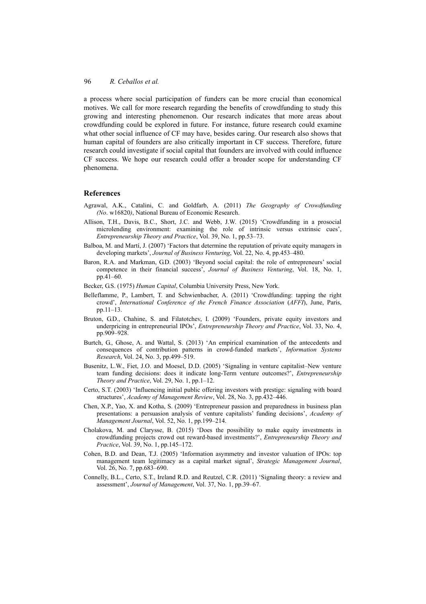a process where social participation of funders can be more crucial than economical motives. We call for more research regarding the benefits of crowdfunding to study this growing and interesting phenomenon. Our research indicates that more areas about crowdfunding could be explored in future. For instance, future research could examine what other social influence of CF may have, besides caring. Our research also shows that human capital of founders are also critically important in CF success. Therefore, future research could investigate if social capital that founders are involved with could influence CF success. We hope our research could offer a broader scope for understanding CF phenomena.

## **References**

- Agrawal, A.K., Catalini, C. and Goldfarb, A. (2011) *The Geography of Crowdfunding (No*. w16820*)*, National Bureau of Economic Research.
- Allison, T.H., Davis, B.C., Short, J.C. and Webb, J.W. (2015) 'Crowdfunding in a prosocial microlending environment: examining the role of intrinsic versus extrinsic cues', *Entrepreneurship Theory and Practice*, Vol. 39, No. 1, pp.53–73.
- Balboa, M. and Martí, J. (2007) 'Factors that determine the reputation of private equity managers in developing markets', *Journal of Business Venturing*, Vol. 22, No. 4, pp.453–480.
- Baron, R.A. and Markman, G.D. (2003) 'Beyond social capital: the role of entrepreneurs' social competence in their financial success', *Journal of Business Venturing*, Vol. 18, No. 1, pp.41–60.
- Becker, G.S. (1975) *Human Capital*, Columbia University Press, New York.
- Belleflamme, P., Lambert, T. and Schwienbacher, A. (2011) 'Crowdfunding: tapping the right crowd', *International Conference of the French Finance Association* (*AFFI*), June, Paris, pp.11–13.
- Bruton, G.D., Chahine, S. and Filatotchev, I. (2009) 'Founders, private equity investors and underpricing in entrepreneurial IPOs', *Entrepreneurship Theory and Practice*, Vol. 33, No. 4, pp.909–928.
- Burtch, G., Ghose, A. and Wattal, S. (2013) 'An empirical examination of the antecedents and consequences of contribution patterns in crowd-funded markets', *Information Systems Research*, Vol. 24, No. 3, pp.499–519.
- Busenitz, L.W., Fiet, J.O. and Moesel, D.D. (2005) 'Signaling in venture capitalist–New venture team funding decisions: does it indicate long-Term venture outcomes?', *Entrepreneurship Theory and Practice*, Vol. 29, No. 1, pp.1–12.
- Certo, S.T. (2003) 'Influencing initial public offering investors with prestige: signaling with board structures', *Academy of Management Review*, Vol. 28, No. 3, pp.432–446.
- Chen, X.P., Yao, X. and Kotha, S. (2009) 'Entrepreneur passion and preparedness in business plan presentations: a persuasion analysis of venture capitalists' funding decisions', *Academy of Management Journal*, Vol. 52, No. 1, pp.199–214.
- Cholakova, M. and Clarysse, B. (2015) 'Does the possibility to make equity investments in crowdfunding projects crowd out reward-based investments?', *Entrepreneurship Theory and Practice*, Vol. 39, No. 1, pp.145–172.
- Cohen, B.D. and Dean, T.J. (2005) 'Information asymmetry and investor valuation of IPOs: top management team legitimacy as a capital market signal', *Strategic Management Journal*, Vol. 26, No. 7, pp.683–690.
- Connelly, B.L., Certo, S.T., Ireland R.D. and Reutzel, C.R. (2011) 'Signaling theory: a review and assessment', *Journal of Management*, Vol. 37, No. 1, pp.39–67.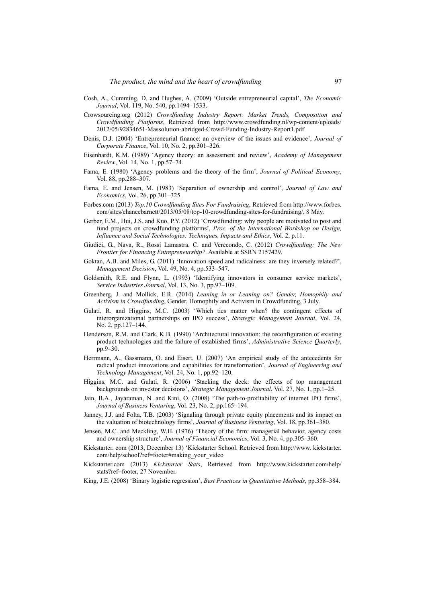- Cosh, A., Cumming, D. and Hughes, A. (2009) 'Outside entrepreneurial capital', *The Economic Journal*, Vol. 119, No. 540, pp.1494–1533.
- Crowsourcing.org (2012) *Crowdfunding Industry Report: Market Trends, Composition and Crowdfunding Platforms*, Retrieved from http://www.crowdfunding.nl/wp-content/uploads/ 2012/05/92834651-Massolution-abridged-Crowd-Funding-Industry-Report1.pdf
- Denis, D.J. (2004) 'Entrepreneurial finance: an overview of the issues and evidence', *Journal of Corporate Finance*, Vol. 10, No. 2, pp.301–326.
- Eisenhardt, K.M. (1989) 'Agency theory: an assessment and review', *Academy of Management Review*, Vol. 14, No. 1, pp.57–74.
- Fama, E. (1980) 'Agency problems and the theory of the firm', *Journal of Political Economy*, Vol. 88, pp.288–307.
- Fama, E. and Jensen, M. (1983) 'Separation of ownership and control', *Journal of Law and Economics*, Vol. 26, pp.301–325.
- Forbes.com (2013) *Top.10 Crowdfunding Sites For Fundraising*, Retrieved from http://www.forbes. com/sites/chancebarnett/2013/05/08/top-10-crowdfunding-sites-for-fundraising/, 8 May.
- Gerber, E.M., Hui, J.S. and Kuo, P.Y. (2012) 'Crowdfunding: why people are motivated to post and fund projects on crowdfunding platforms', *Proc. of the International Workshop on Design, Influence and Social Technologies: Techniques, Impacts and Ethics*, Vol. 2, p.11.
- Giudici, G., Nava, R., Rossi Lamastra, C. and Verecondo, C. (2012) *Crowdfunding: The New Frontier for Financing Entrepreneurship?*. Available at SSRN 2157429.
- Goktan, A.B. and Miles, G. (2011) 'Innovation speed and radicalness: are they inversely related?', *Management Decision*, Vol. 49, No. 4, pp.533–547.
- Goldsmith, R.E. and Flynn, L. (1993) 'Identifying innovators in consumer service markets', *Service Industries Journal*, Vol. 13, No. 3, pp.97–109.
- Greenberg, J. and Mollick, E.R. (2014) *Leaning in or Leaning on? Gender, Homophily and Activism in Crowdfunding*, Gender, Homophily and Activism in Crowdfunding, 3 July.
- Gulati, R. and Higgins, M.C. (2003) 'Which ties matter when? the contingent effects of interorganizational partnerships on IPO success', *Strategic Management Journal*, Vol. 24, No. 2, pp.127–144.
- Henderson, R.M. and Clark, K.B. (1990) 'Architectural innovation: the reconfiguration of existing product technologies and the failure of established firms', *Administrative Science Quarterly*, pp.9–30.
- Herrmann, A., Gassmann, O. and Eisert, U. (2007) 'An empirical study of the antecedents for radical product innovations and capabilities for transformation', *Journal of Engineering and Technology Management*, Vol. 24, No. 1, pp.92–120.
- Higgins, M.C. and Gulati, R. (2006) 'Stacking the deck: the effects of top management backgrounds on investor decisions', *Strategic Management Journal*, Vol. 27, No. 1, pp.1–25.
- Jain, B.A., Jayaraman, N. and Kini, O. (2008) 'The path-to-profitability of internet IPO firms', *Journal of Business Venturing*, Vol. 23, No. 2, pp.165–194.
- Janney, J.J. and Folta, T.B. (2003) 'Signaling through private equity placements and its impact on the valuation of biotechnology firms', *Journal of Business Venturing*, Vol. 18, pp.361–380.
- Jensen, M.C. and Meckling, W.H. (1976) 'Theory of the firm: managerial behavior, agency costs and ownership structure', *Journal of Financial Economics*, Vol. 3, No. 4, pp.305–360.
- Kickstarter. com (2013, December 13) 'Kickstarter School. Retrieved from http://www. kickstarter. com/help/school?ref=footer#making\_your\_video
- Kickstarter.com (2013) *Kickstarter Stats*, Retrieved from http://www.kickstarter.com/help/ stats?ref=footer, 27 November.
- King, J.E. (2008) 'Binary logistic regression', *Best Practices in Quantitative Methods*, pp.358–384.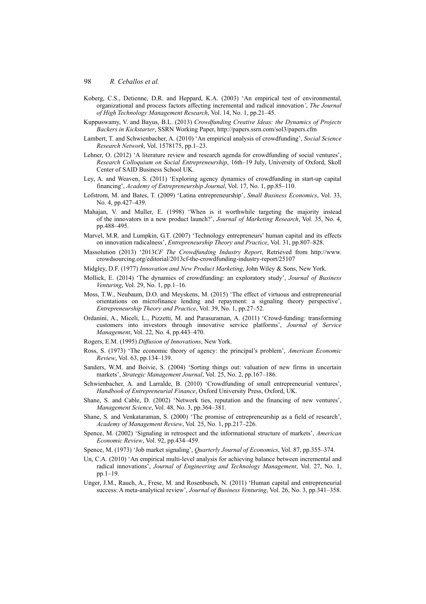- Koberg, C.S., Detienne, D.R. and Heppard, K.A. (2003) 'An empirical test of environmental, organizational and process factors affecting incremental and radical innovation*'*, *The Journal of High Technology Management Research*, Vol. 14, No. 1, pp.21–45.
- Kuppuswamy, V. and Bayus, B.L. (2013) *Crowdfunding Creative Ideas: the Dynamics of Projects Backers in Kickstarter*, SSRN Working Paper, http://papers.ssrn.com/sol3/papers.cfm
- Lambert, T. and Schwienbacher, A. (2010) 'An empirical analysis of crowdfunding', *Social Science Research Network*, Vol. 1578175, pp.1–23.
- Lehner, O. (2012) 'A literature review and research agenda for crowdfunding of social ventures', *Research Colloquium on Social Entrepreneurship*, 16th–19 July, University of Oxford, Skoll Center of SAID Business School UK.
- Ley, A. and Weaven, S. (2011) 'Exploring agency dynamics of crowdfunding in start-up capital financing', *Academy of Entrepreneurship Journal*, Vol. 17, No. 1, pp.85–110.
- Lofstrom, M. and Bates, T. (2009) 'Latina entrepreneurship', *Small Business Economics*, Vol. 33, No. 4, pp.427–439.
- Mahajan, V. and Muller, E. (1998) 'When is it worthwhile targeting the majority instead of the innovators in a new product launch?', *Journal of Marketing Research*, Vol. 35, No. 4, pp.488–495.
- Marvel, M.R. and Lumpkin, G.T. (2007) 'Technology entrepreneurs' human capital and its effects on innovation radicalness', *Entrepreneurship Theory and Practice*, Vol. 31, pp.807–828.
- Massolution (2013) '2013*CF The Crowdfunding Industry Report*, Retrieved from http://www. crowdsourcing.org/editorial/2013cf-the-crowdfunding-industry-report/25107
- Midgley, D.F. (1977) *Innovation and New Product Marketing*, John Wiley & Sons, New York.
- Mollick, E. (2014) 'The dynamics of crowdfunding: an exploratory study', *Journal of Business Venturing*, Vol. 29, No. 1, pp.1–16.
- Moss, T.W., Neubaum, D.O. and Meyskens, M. (2015) 'The effect of virtuous and entrepreneurial orientations on microfinance lending and repayment: a signaling theory perspective', *Entrepreneurship Theory and Practice*, Vol. 39, No. 1, pp.27–52.
- Ordanini, A., Miceli, L., Pizzetti, M. and Parasuraman, A. (2011) 'Crowd-funding: transforming customers into investors through innovative service platforms', *Journal of Service Management*, Vol. 22, No. 4, pp.443–470.
- Rogers, E.M. (1995) *Diffusion of Innovations*, New York.
- Ross, S. (1973) 'The economic theory of agency: the principal's problem', *American Economic Review*, Vol. 63, pp.134–139.
- Sanders, W.M. and Boivie, S. (2004) 'Sorting things out: valuation of new firms in uncertain markets', *Strategic Management Journal*, Vol. 25, No. 2, pp.167–186.
- Schwienbacher, A. and Larralde, B. (2010) 'Crowdfunding of small entrepreneurial ventures', *Handbook of Entrepreneurial Finance*, Oxford University Press, Oxford, UK.
- Shane, S. and Cable, D. (2002) 'Network ties, reputation and the financing of new ventures', *Management Science*, Vol. 48, No. 3, pp.364–381.
- Shane, S. and Venkataraman, S. (2000) 'The promise of entrepreneurship as a field of research', *Academy of Management Review*, Vol. 25, No. 1, pp.217–226.
- Spence, M. (2002) 'Signaling in retrospect and the informational structure of markets', *American Economic Review*, Vol. 92, pp.434–459.
- Spence, M. (1973) 'Job market signaling', *Quarterly Journal of Economics*, Vol. 87, pp.355–374.
- Un, C.A. (2010) 'An empirical multi-level analysis for achieving balance between incremental and radical innovations', *Journal of Engineering and Technology Management*, Vol. 27, No. 1, pp.1–19.
- Unger, J.M., Rauch, A., Frese, M. and Rosenbusch, N. (2011) 'Human capital and entrepreneurial success: A meta-analytical review', *Journal of Business Venturing*, Vol. 26, No. 3, pp.341–358.